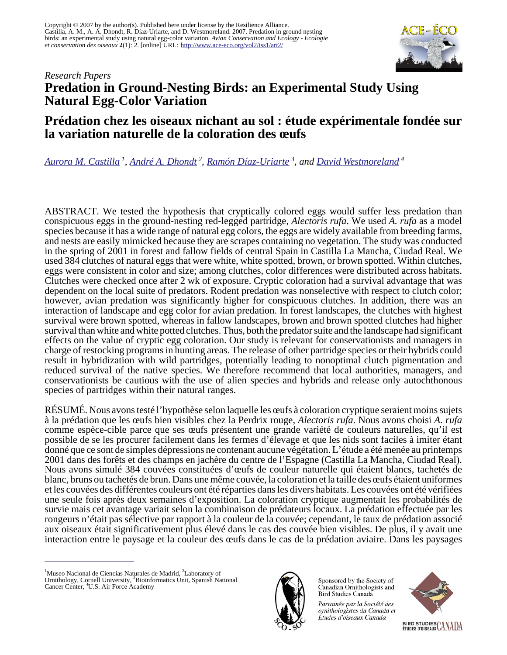

## *Research Papers* **Predation in Ground-Nesting Birds: an Experimental Study Using Natural Egg-Color Variation**

## **Prédation chez les oiseaux nichant au sol : étude expérimentale fondée sur la variation naturelle de la coloration des œufs**

*[Aurora M. Castilla](mailto:aurora@mncn.csic.es)<sup>1</sup> , [André A. Dhondt](mailto:aad4@cornell.edu)<sup>2</sup> , [Ramón Díaz-Uriarte](mailto:rdiaz02@gmail.com)<sup>3</sup>, and [David Westmoreland](mailto:david.westmoreland@usafa.af.mil)<sup>4</sup>*

ABSTRACT. We tested the hypothesis that cryptically colored eggs would suffer less predation than conspicuous eggs in the ground-nesting red-legged partridge, *Alectoris rufa*. We used *A. rufa* as a model species because it has a wide range of natural egg colors, the eggs are widely available from breeding farms, and nests are easily mimicked because they are scrapes containing no vegetation. The study was conducted in the spring of 2001 in forest and fallow fields of central Spain in Castilla La Mancha, Ciudad Real. We used 384 clutches of natural eggs that were white, white spotted, brown, or brown spotted. Within clutches, eggs were consistent in color and size; among clutches, color differences were distributed across habitats. Clutches were checked once after 2 wk of exposure. Cryptic coloration had a survival advantage that was dependent on the local suite of predators. Rodent predation was nonselective with respect to clutch color; however, avian predation was significantly higher for conspicuous clutches. In addition, there was an interaction of landscape and egg color for avian predation. In forest landscapes, the clutches with highest survival were brown spotted, whereas in fallow landscapes, brown and brown spotted clutches had higher survival than white and white potted clutches. Thus, both the predator suite and the landscape had significant effects on the value of cryptic egg coloration. Our study is relevant for conservationists and managers in charge of restocking programs in hunting areas. The release of other partridge species or their hybrids could result in hybridization with wild partridges, potentially leading to nonoptimal clutch pigmentation and reduced survival of the native species. We therefore recommend that local authorities, managers, and conservationists be cautious with the use of alien species and hybrids and release only autochthonous species of partridges within their natural ranges.

RÉSUMÉ. Nous avons testé l'hypothèse selon laquelle les œufs à coloration cryptique seraient moins sujets à la prédation que les œufs bien visibles chez la Perdrix rouge, *Alectoris rufa*. Nous avons choisi *A. rufa* comme espèce-cible parce que ses œufs présentent une grande variété de couleurs naturelles, qu'il est possible de se les procurer facilement dans les fermes d'élevage et que les nids sont faciles à imiter étant donné que ce sont de simples dépressions ne contenant aucune végétation. L'étude a été menée au printemps 2001 dans des forêts et des champs en jachère du centre de l'Espagne (Castilla La Mancha, Ciudad Real). Nous avons simulé 384 couvées constituées d'œufs de couleur naturelle qui étaient blancs, tachetés de blanc, bruns ou tachetés de brun. Dans une même couvée, la coloration et la taille des œufs étaient uniformes et les couvées des différentes couleurs ont été réparties dans les divers habitats. Les couvées ont été vérifiées une seule fois après deux semaines d'exposition. La coloration cryptique augmentait les probabilités de survie mais cet avantage variait selon la combinaison de prédateurs locaux. La prédation effectuée par les rongeurs n'était pas sélective par rapport à la couleur de la couvée; cependant, le taux de prédation associé aux oiseaux était significativement plus élevé dans le cas des couvée bien visibles. De plus, il y avait une interaction entre le paysage et la couleur des œufs dans le cas de la prédation aviaire. Dans les paysages



Sponsored by the Society of Canadian Ornithologists and Bird Studies Canada

Parrainée par la Société des ornithologistes du Canada et Études d'oiseaux Canada



<sup>&</sup>lt;sup>1</sup>Museo Nacional de Ciencias Naturales de Madrid, <sup>2</sup>Laboratory of Ornithology, Cornell University, 3Bioinformatics Unit, Spanish National Cancer Center, <sup>4</sup>U.S. Air Force Academy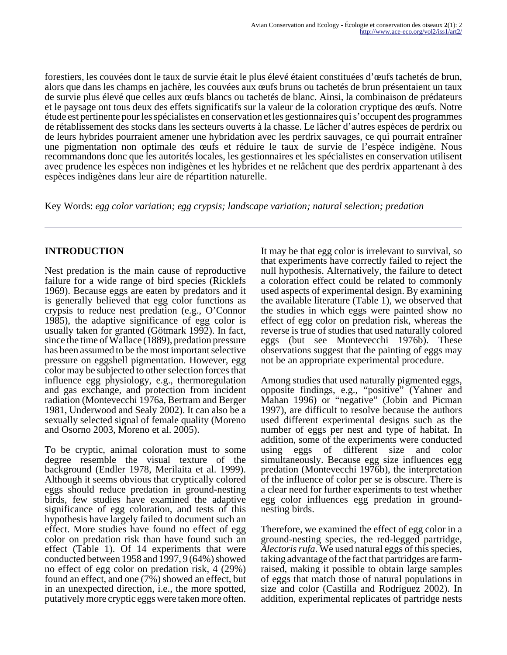forestiers, les couvées dont le taux de survie était le plus élevé étaient constituées d'œufs tachetés de brun, alors que dans les champs en jachère, les couvées aux œufs bruns ou tachetés de brun présentaient un taux de survie plus élevé que celles aux œufs blancs ou tachetés de blanc. Ainsi, la combinaison de prédateurs et le paysage ont tous deux des effets significatifs sur la valeur de la coloration cryptique des œufs. Notre étude est pertinente pour les spécialistes en conservation et les gestionnaires qui s'occupent des programmes de rétablissement des stocks dans les secteurs ouverts à la chasse. Le lâcher d'autres espèces de perdrix ou de leurs hybrides pourraient amener une hybridation avec les perdrix sauvages, ce qui pourrait entraîner une pigmentation non optimale des œufs et réduire le taux de survie de l'espèce indigène. Nous recommandons donc que les autorités locales, les gestionnaires et les spécialistes en conservation utilisent avec prudence les espèces non indigènes et les hybrides et ne relâchent que des perdrix appartenant à des espèces indigènes dans leur aire de répartition naturelle.

Key Words: *egg color variation; egg crypsis; landscape variation; natural selection; predation* 

## **INTRODUCTION**

Nest predation is the main cause of reproductive failure for a wide range of bird species (Ricklefs 1969). Because eggs are eaten by predators and it is generally believed that egg color functions as crypsis to reduce nest predation (e.g., O'Connor 1985), the adaptive significance of egg color is usually taken for granted (Götmark 1992). In fact, since the time of Wallace (1889), predation pressure has been assumed to be the most important selective pressure on eggshell pigmentation. However, egg color may be subjected to other selection forces that influence egg physiology, e.g., thermoregulation and gas exchange, and protection from incident radiation (Montevecchi 1976a, Bertram and Berger 1981, Underwood and Sealy 2002). It can also be a sexually selected signal of female quality (Moreno and Osorno 2003, Moreno et al. 2005).

To be cryptic, animal coloration must to some degree resemble the visual texture of the background (Endler 1978, Merilaita et al. 1999). Although it seems obvious that cryptically colored eggs should reduce predation in ground-nesting birds, few studies have examined the adaptive significance of egg coloration, and tests of this hypothesis have largely failed to document such an effect. More studies have found no effect of egg color on predation risk than have found such an effect (Table 1). Of 14 experiments that were conducted between 1958 and 1997, 9 (64%) showed no effect of egg color on predation risk, 4 (29%) found an effect, and one (7%) showed an effect, but in an unexpected direction, i.e., the more spotted, putatively more cryptic eggs were taken more often.

It may be that egg color is irrelevant to survival, so that experiments have correctly failed to reject the null hypothesis. Alternatively, the failure to detect a coloration effect could be related to commonly used aspects of experimental design. By examining the available literature (Table 1), we observed that the studies in which eggs were painted show no effect of egg color on predation risk, whereas the reverse is true of studies that used naturally colored eggs (but see Montevecchi 1976b). These observations suggest that the painting of eggs may not be an appropriate experimental procedure.

Among studies that used naturally pigmented eggs, opposite findings, e.g., "positive" (Yahner and Mahan 1996) or "negative" (Jobin and Picman 1997), are difficult to resolve because the authors used different experimental designs such as the number of eggs per nest and type of habitat. In addition, some of the experiments were conducted using eggs of different size and color simultaneously. Because egg size influences egg predation (Montevecchi 1976b), the interpretation of the influence of color per se is obscure. There is a clear need for further experiments to test whether egg color influences egg predation in groundnesting birds.

Therefore, we examined the effect of egg color in a ground-nesting species, the red-legged partridge, *Alectoris rufa*. We used natural eggs of this species, taking advantage of the fact that partridges are farmraised, making it possible to obtain large samples of eggs that match those of natural populations in size and color (Castilla and Rodríguez 2002). In addition, experimental replicates of partridge nests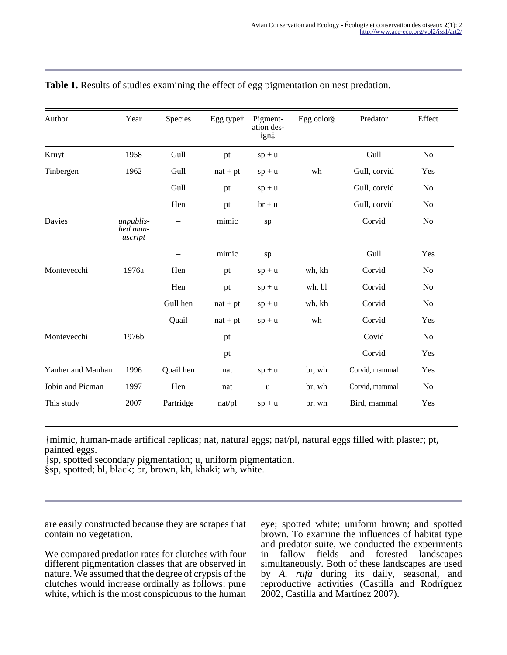| Species<br>Egg color§<br>Predator<br>Effect<br>Author<br>Year<br>Pigment-<br>Egg type†<br>ation des-<br>ignt<br>Gull<br>Gull<br>1958<br>N <sub>o</sub><br>Kruyt<br>pt<br>$sp + u$<br>1962<br>Gull<br>Gull, corvid<br>Tinbergen<br>wh<br>Yes<br>$nat + pt$<br>$sp + u$<br>Gull<br>Gull, corvid<br>N <sub>o</sub><br>pt<br>$sp + u$<br>Hen<br>Gull, corvid<br>No<br>$br + u$<br>pt<br>mimic<br>Corvid<br>Davies<br>unpublis-<br>No<br>sp |
|----------------------------------------------------------------------------------------------------------------------------------------------------------------------------------------------------------------------------------------------------------------------------------------------------------------------------------------------------------------------------------------------------------------------------------------|
|                                                                                                                                                                                                                                                                                                                                                                                                                                        |
|                                                                                                                                                                                                                                                                                                                                                                                                                                        |
|                                                                                                                                                                                                                                                                                                                                                                                                                                        |
|                                                                                                                                                                                                                                                                                                                                                                                                                                        |
|                                                                                                                                                                                                                                                                                                                                                                                                                                        |
| hed man-<br>uscript                                                                                                                                                                                                                                                                                                                                                                                                                    |
| Gull<br>Yes<br>mimic<br>sp<br>-                                                                                                                                                                                                                                                                                                                                                                                                        |
| Montevecchi<br>1976a<br>Hen<br>wh, kh<br>Corvid<br>N <sub>o</sub><br>$sp + u$<br>pt                                                                                                                                                                                                                                                                                                                                                    |
| Hen<br>Corvid<br>wh, bl<br>N <sub>o</sub><br>pt<br>$sp + u$                                                                                                                                                                                                                                                                                                                                                                            |
| Gull hen<br>Corvid<br>wh, kh<br>No<br>$nat + pt$<br>$sp + u$                                                                                                                                                                                                                                                                                                                                                                           |
| Quail<br>wh<br>Corvid<br>Yes<br>$nat + pt$<br>$sp + u$                                                                                                                                                                                                                                                                                                                                                                                 |
| Montevecchi<br>1976b<br>Covid<br>N <sub>o</sub><br>pt                                                                                                                                                                                                                                                                                                                                                                                  |
| Corvid<br>Yes<br>pt                                                                                                                                                                                                                                                                                                                                                                                                                    |
| Yanher and Manhan<br>1996<br>Quail hen<br>Corvid, mammal<br>Yes<br>br, wh<br>nat<br>$sp + u$                                                                                                                                                                                                                                                                                                                                           |
| Jobin and Picman<br>Hen<br>Corvid, mammal<br>1997<br>No<br>br, wh<br>nat<br>u                                                                                                                                                                                                                                                                                                                                                          |
| This study<br>2007<br>Partridge<br>Bird, mammal<br>Yes<br>nat/pl<br>br, wh<br>$sp + u$                                                                                                                                                                                                                                                                                                                                                 |

## **Table 1.** Results of studies examining the effect of egg pigmentation on nest predation.

†mimic, human-made artifical replicas; nat, natural eggs; nat/pl, natural eggs filled with plaster; pt, painted eggs.

‡sp, spotted secondary pigmentation; u, uniform pigmentation.

§sp, spotted; bl, black; br, brown, kh, khaki; wh, white.

are easily constructed because they are scrapes that contain no vegetation.

We compared predation rates for clutches with four different pigmentation classes that are observed in nature. We assumed that the degree of crypsis of the clutches would increase ordinally as follows: pure white, which is the most conspicuous to the human

eye; spotted white; uniform brown; and spotted brown. To examine the influences of habitat type and predator suite, we conducted the experiments in fallow fields and forested landscapes simultaneously. Both of these landscapes are used by *A. rufa* during its daily, seasonal, and reproductive activities (Castilla and Rodríguez 2002, Castilla and Martínez 2007).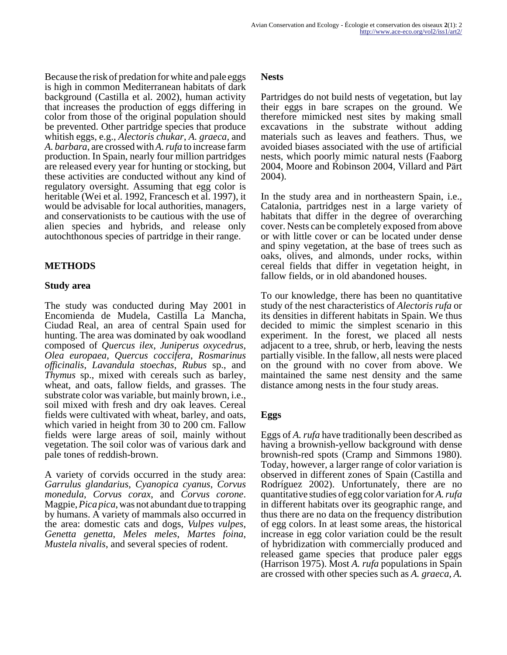Because the risk of predation for white and pale eggs is high in common Mediterranean habitats of dark background (Castilla et al. 2002), human activity that increases the production of eggs differing in color from those of the original population should be prevented. Other partridge species that produce whitish eggs, e.g., *Alectoris chukar*, *A. graeca*, and *A. barbara*, are crossed with *A. rufa* to increase farm production. In Spain, nearly four million partridges are released every year for hunting or stocking, but these activities are conducted without any kind of regulatory oversight. Assuming that egg color is heritable (Wei et al. 1992, Francesch et al. 1997), it would be advisable for local authorities, managers, and conservationists to be cautious with the use of alien species and hybrids, and release only autochthonous species of partridge in their range.

## **METHODS**

## **Study area**

The study was conducted during May 2001 in Encomienda de Mudela, Castilla La Mancha, Ciudad Real, an area of central Spain used for hunting. The area was dominated by oak woodland composed of *Quercus ilex*, *Juniperus oxycedrus*, *Olea europaea*, *Quercus coccifera*, *Rosmarinus officinalis*, *Lavandula stoechas*, *Rubus* sp., and *Thymus* sp., mixed with cereals such as barley, wheat, and oats, fallow fields, and grasses. The substrate color was variable, but mainly brown, i.e., soil mixed with fresh and dry oak leaves. Cereal fields were cultivated with wheat, barley, and oats, which varied in height from 30 to 200 cm. Fallow fields were large areas of soil, mainly without vegetation. The soil color was of various dark and pale tones of reddish-brown.

A variety of corvids occurred in the study area: *Garrulus glandarius*, *Cyanopica cyanus*, *Corvus monedula*, *Corvus corax*, and *Corvus corone*. Magpie, *Pica pica*, was not abundant due to trapping by humans. A variety of mammals also occurred in the area: domestic cats and dogs, *Vulpes vulpes*, *Genetta genetta*, *Meles meles*, *Martes foina*, *Mustela nivalis*, and several species of rodent.

#### **Nests**

Partridges do not build nests of vegetation, but lay their eggs in bare scrapes on the ground. We therefore mimicked nest sites by making small excavations in the substrate without adding materials such as leaves and feathers. Thus, we avoided biases associated with the use of artificial nests, which poorly mimic natural nests (Faaborg 2004, Moore and Robinson 2004, Villard and Pärt 2004).

In the study area and in northeastern Spain, i.e., Catalonia, partridges nest in a large variety of habitats that differ in the degree of overarching cover. Nests can be completely exposed from above or with little cover or can be located under dense and spiny vegetation, at the base of trees such as oaks, olives, and almonds, under rocks, within cereal fields that differ in vegetation height, in fallow fields, or in old abandoned houses.

To our knowledge, there has been no quantitative study of the nest characteristics of *Alectoris rufa* or its densities in different habitats in Spain. We thus decided to mimic the simplest scenario in this experiment. In the forest, we placed all nests adjacent to a tree, shrub, or herb, leaving the nests partially visible. In the fallow, all nests were placed on the ground with no cover from above. We maintained the same nest density and the same distance among nests in the four study areas.

## **Eggs**

Eggs of *A. rufa* have traditionally been described as having a brownish-yellow background with dense brownish-red spots (Cramp and Simmons 1980). Today, however, a larger range of color variation is observed in different zones of Spain (Castilla and Rodríguez 2002). Unfortunately, there are no quantitative studies of egg color variation for *A. rufa* in different habitats over its geographic range, and thus there are no data on the frequency distribution of egg colors. In at least some areas, the historical increase in egg color variation could be the result of hybridization with commercially produced and released game species that produce paler eggs (Harrison 1975). Most *A. rufa* populations in Spain are crossed with other species such as *A. graeca, A.*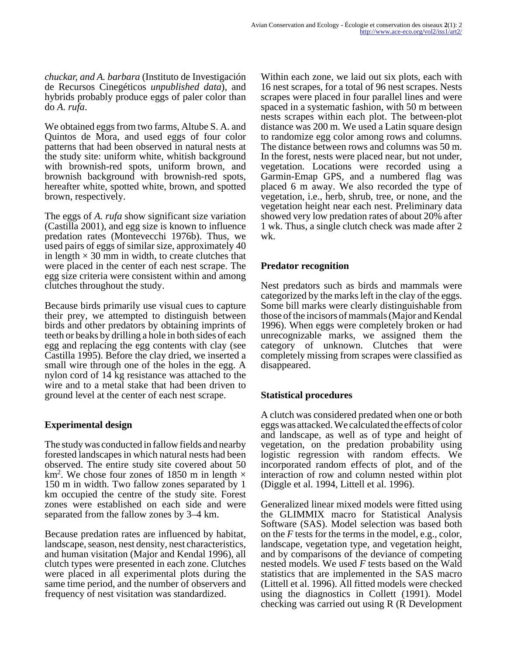*chuckar, and A. barbara* (Instituto de Investigación de Recursos Cinegéticos *unpublished data*), and hybrids probably produce eggs of paler color than do *A. rufa*.

We obtained eggs from two farms, Altube S. A. and Quintos de Mora, and used eggs of four color patterns that had been observed in natural nests at the study site: uniform white, whitish background with brownish-red spots, uniform brown, and brownish background with brownish-red spots, hereafter white, spotted white, brown, and spotted brown, respectively.

The eggs of *A. rufa* show significant size variation (Castilla 2001), and egg size is known to influence predation rates (Montevecchi 1976b). Thus, we used pairs of eggs of similar size, approximately 40 in length  $\times$  30 mm in width, to create clutches that were placed in the center of each nest scrape. The egg size criteria were consistent within and among clutches throughout the study.

Because birds primarily use visual cues to capture their prey, we attempted to distinguish between birds and other predators by obtaining imprints of teeth or beaks by drilling a hole in both sides of each egg and replacing the egg contents with clay (see Castilla 1995). Before the clay dried, we inserted a small wire through one of the holes in the egg. A nylon cord of 14 kg resistance was attached to the wire and to a metal stake that had been driven to ground level at the center of each nest scrape.

## **Experimental design**

The study was conducted in fallow fields and nearby forested landscapes in which natural nests had been observed. The entire study site covered about 50 km<sup>2</sup>. We chose four zones of 1850 m in length  $\times$ 150 m in width. Two fallow zones separated by 1 km occupied the centre of the study site. Forest zones were established on each side and were separated from the fallow zones by 3–4 km.

Because predation rates are influenced by habitat, landscape, season, nest density, nest characteristics, and human visitation (Major and Kendal 1996), all clutch types were presented in each zone. Clutches were placed in all experimental plots during the same time period, and the number of observers and frequency of nest visitation was standardized.

Within each zone, we laid out six plots, each with 16 nest scrapes, for a total of 96 nest scrapes. Nests scrapes were placed in four parallel lines and were spaced in a systematic fashion, with 50 m between nests scrapes within each plot. The between-plot distance was 200 m. We used a Latin square design to randomize egg color among rows and columns. The distance between rows and columns was 50 m. In the forest, nests were placed near, but not under, vegetation. Locations were recorded using a Garmin-Emap GPS, and a numbered flag was placed 6 m away. We also recorded the type of vegetation, i.e., herb, shrub, tree, or none, and the vegetation height near each nest. Preliminary data showed very low predation rates of about 20% after 1 wk. Thus, a single clutch check was made after 2 wk.

## **Predator recognition**

Nest predators such as birds and mammals were categorized by the marks left in the clay of the eggs. Some bill marks were clearly distinguishable from those of the incisors of mammals (Major and Kendal 1996). When eggs were completely broken or had unrecognizable marks, we assigned them the category of unknown. Clutches that were completely missing from scrapes were classified as disappeared.

## **Statistical procedures**

A clutch was considered predated when one or both eggs was attacked. We calculated the effects of color and landscape, as well as of type and height of vegetation, on the predation probability using logistic regression with random effects. We incorporated random effects of plot, and of the interaction of row and column nested within plot (Diggle et al. 1994, Littell et al. 1996).

Generalized linear mixed models were fitted using the GLIMMIX macro for Statistical Analysis Software (SAS). Model selection was based both on the *F* tests for the terms in the model, e.g., color, landscape, vegetation type, and vegetation height, and by comparisons of the deviance of competing nested models. We used *F* tests based on the Wald statistics that are implemented in the SAS macro (Littell et al. 1996). All fitted models were checked using the diagnostics in Collett (1991). Model checking was carried out using R (R Development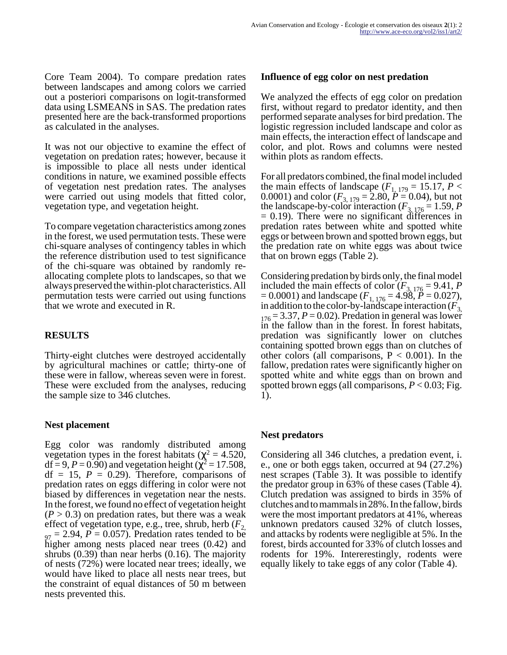Core Team 2004). To compare predation rates between landscapes and among colors we carried out a posteriori comparisons on logit-transformed data using LSMEANS in SAS. The predation rates presented here are the back-transformed proportions as calculated in the analyses.

It was not our objective to examine the effect of vegetation on predation rates; however, because it is impossible to place all nests under identical conditions in nature, we examined possible effects of vegetation nest predation rates. The analyses were carried out using models that fitted color, vegetation type, and vegetation height.

To compare vegetation characteristics among zones in the forest, we used permutation tests. These were chi-square analyses of contingency tables in which the reference distribution used to test significance of the chi-square was obtained by randomly reallocating complete plots to landscapes, so that we always preserved the within-plot characteristics. All permutation tests were carried out using functions that we wrote and executed in R.

## **RESULTS**

Thirty-eight clutches were destroyed accidentally by agricultural machines or cattle; thirty-one of these were in fallow, whereas seven were in forest. These were excluded from the analyses, reducing the sample size to 346 clutches.

## **Nest placement**

Egg color was randomly distributed among vegetation types in the forest habitats ( $\chi^2 = 4.520$ ,  $df = 9, P = 0.90$  and vegetation height ( $\chi^2 = 17.508$ )  $df = 15$ ,  $P = 0.29$ ). Therefore, comparisons of predation rates on eggs differing in color were not biased by differences in vegetation near the nests. In the forest, we found no effect of vegetation height  $(P > 0.3)$  on predation rates, but there was a weak effect of vegetation type, e.g., tree, shrub, herb  $(F_2)$  $_{97}$  = 2.94, *P* = 0.057). Predation rates tended to be higher among nests placed near trees (0.42) and shrubs (0.39) than near herbs (0.16). The majority of nests (72%) were located near trees; ideally, we would have liked to place all nests near trees, but the constraint of equal distances of 50 m between nests prevented this.

## **Influence of egg color on nest predation**

We analyzed the effects of egg color on predation first, without regard to predator identity, and then performed separate analyses for bird predation. The logistic regression included landscape and color as main effects, the interaction effect of landscape and color, and plot. Rows and columns were nested within plots as random effects.

For all predators combined, the final model included the main effects of landscape  $(F_{1, 179} = 15.17, P <$ 0.0001) and color  $(F_{3, 179} = 2.80, P = 0.04)$ , but not the landscape-by-color interaction ( $F_{3, 176} = 1.59$ , *P*  $= 0.19$ ). There were no significant differences in predation rates between white and spotted white eggs or between brown and spotted brown eggs, but the predation rate on white eggs was about twice that on brown eggs (Table 2).

Considering predation by birds only, the final model included the main effects of color  $(F_{3, 176} = 9.41, P$  $= 0.0001$ ) and landscape  $(F_{1, 176} = 4.98, P = 0.027)$ , in addition to the color-by-landscape interaction  $(F_3)$  $_{176}$  = 3.37,  $P$  = 0.02). Predation in general was lower in the fallow than in the forest. In forest habitats, predation was significantly lower on clutches containing spotted brown eggs than on clutches of other colors (all comparisons,  $P < 0.001$ ). In the fallow, predation rates were significantly higher on spotted white and white eggs than on brown and spotted brown eggs (all comparisons, *P* < 0.03; Fig. 1).

## **Nest predators**

Considering all 346 clutches, a predation event, i. e., one or both eggs taken, occurred at 94 (27.2%) nest scrapes (Table 3). It was possible to identify the predator group in 63% of these cases (Table 4). Clutch predation was assigned to birds in 35% of clutches and to mammals in 28%. In the fallow, birds were the most important predators at 41%, whereas unknown predators caused 32% of clutch losses, and attacks by rodents were negligible at 5%. In the forest, birds accounted for 33% of clutch losses and rodents for 19%. Intererestingly, rodents were equally likely to take eggs of any color (Table 4).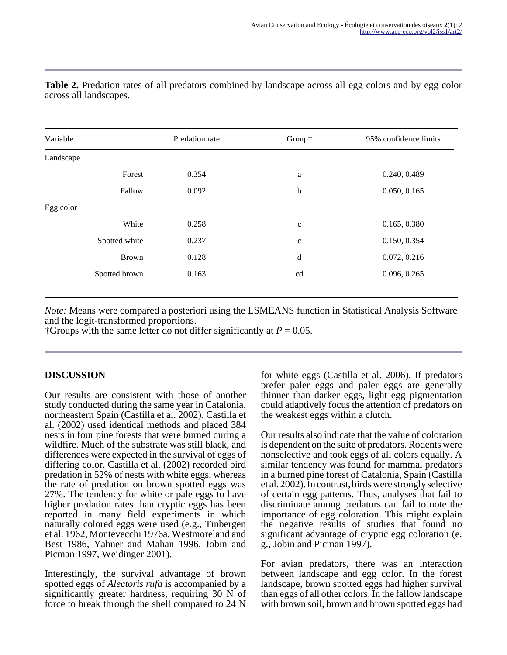| 0.354<br>0.092 | a<br>$\mathbf b$ | 0.240, 0.489<br>0.050, 0.165 |
|----------------|------------------|------------------------------|
|                |                  |                              |
|                |                  |                              |
|                |                  |                              |
|                |                  |                              |
| 0.258          | $\mathbf c$      | 0.165, 0.380                 |
| 0.237          | $\mathbf c$      | 0.150, 0.354                 |
| 0.128          | d                | 0.072, 0.216                 |
| 0.163          | cd               | 0.096, 0.265                 |
|                |                  |                              |

**Table 2.** Predation rates of all predators combined by landscape across all egg colors and by egg color across all landscapes.

*Note:* Means were compared a posteriori using the LSMEANS function in Statistical Analysis Software and the logit-transformed proportions.

<sup> $\dagger$ </sup>Groups with the same letter do not differ significantly at *P* = 0.05.

## **DISCUSSION**

Our results are consistent with those of another study conducted during the same year in Catalonia, northeastern Spain (Castilla et al. 2002). Castilla et al. (2002) used identical methods and placed 384 nests in four pine forests that were burned during a wildfire. Much of the substrate was still black, and differences were expected in the survival of eggs of differing color. Castilla et al. (2002) recorded bird predation in 52% of nests with white eggs, whereas the rate of predation on brown spotted eggs was 27%. The tendency for white or pale eggs to have higher predation rates than cryptic eggs has been reported in many field experiments in which naturally colored eggs were used (e.g., Tinbergen et al. 1962, Montevecchi 1976a, Westmoreland and Best 1986, Yahner and Mahan 1996, Jobin and Picman 1997, Weidinger 2001).

Interestingly, the survival advantage of brown spotted eggs of *Alectoris rufa* is accompanied by a significantly greater hardness, requiring 30 N of force to break through the shell compared to 24 N

for white eggs (Castilla et al. 2006). If predators prefer paler eggs and paler eggs are generally thinner than darker eggs, light egg pigmentation could adaptively focus the attention of predators on the weakest eggs within a clutch.

Our results also indicate that the value of coloration is dependent on the suite of predators. Rodents were nonselective and took eggs of all colors equally. A similar tendency was found for mammal predators in a burned pine forest of Catalonia, Spain (Castilla et al. 2002). In contrast, birds were strongly selective of certain egg patterns. Thus, analyses that fail to discriminate among predators can fail to note the importance of egg coloration. This might explain the negative results of studies that found no significant advantage of cryptic egg coloration (e. g., Jobin and Picman 1997).

For avian predators, there was an interaction between landscape and egg color. In the forest landscape, brown spotted eggs had higher survival than eggs of all other colors. In the fallow landscape with brown soil, brown and brown spotted eggs had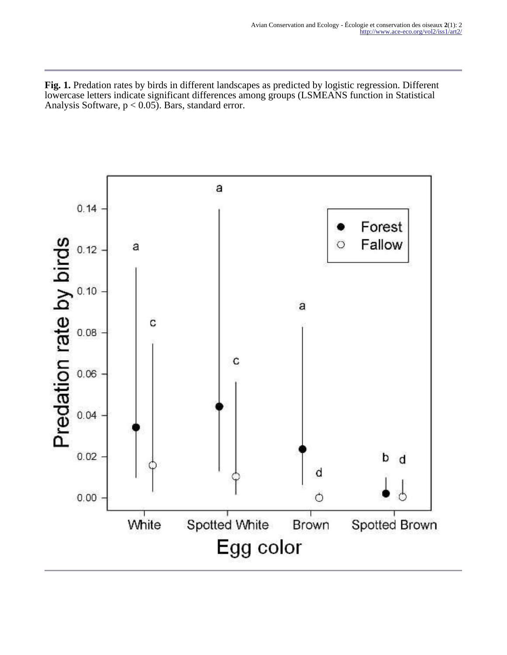**Fig. 1.** Predation rates by birds in different landscapes as predicted by logistic regression. Different lowercase letters indicate significant differences among groups (LSMEANS function in Statistical Analysis Software,  $p < 0.05$ ). Bars, standard error.

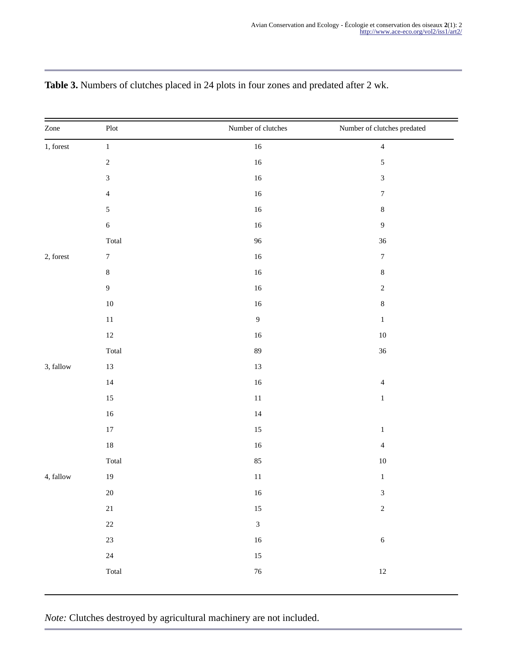| Zone             | ${\bf Plot}$                    | Number of clutches | Number of clutches predated |
|------------------|---------------------------------|--------------------|-----------------------------|
| $1,$ forest $\,$ | $\,1\,$                         | $16\,$             | $\overline{4}$              |
|                  | $\sqrt{2}$                      | $16\,$             | 5                           |
|                  | $\sqrt{3}$                      | $16\,$             | 3                           |
|                  | $\sqrt{4}$                      | $16\,$             | $\boldsymbol{7}$            |
|                  | $\sqrt{5}$                      | $16\,$             | $\,8\,$                     |
|                  | $\sqrt{6}$                      | $16\,$             | $\overline{9}$              |
|                  | Total                           | 96                 | 36                          |
| 2, forest        | $\boldsymbol{7}$                | $16\,$             | $\boldsymbol{7}$            |
|                  | $\,8\,$                         | $16\,$             | $\,$ 8 $\,$                 |
|                  | $\overline{9}$                  | $16\,$             | $\sqrt{2}$                  |
|                  | $10\,$                          | $16\,$             | $\,8\,$                     |
|                  | $11\,$                          | $\boldsymbol{9}$   | $1\,$                       |
|                  | 12                              | $16\,$             | $10\,$                      |
|                  | Total                           | 89                 | 36                          |
| 3, fallow        | 13                              | $13\,$             |                             |
|                  | $14\,$                          | $16\,$             | $\overline{4}$              |
|                  | 15                              | $11\,$             | $\,1$                       |
|                  | $16\,$                          | 14                 |                             |
|                  | $17\,$                          | $15\,$             | $\,1\,$                     |
|                  | 18                              | $16\,$             | $\overline{4}$              |
|                  | Total                           | $85\,$             | $10\,$                      |
| 4, fallow        | $19\,$                          | $11\,$             | $\,1$                       |
|                  | $20\,$                          | $16\,$             | $\mathfrak{Z}$              |
|                  | $21\,$                          | $15\,$             | $\sqrt{2}$                  |
|                  | $22\,$                          | $\mathfrak{Z}$     |                             |
|                  | $23\,$                          | $16\,$             | $\sqrt{6}$                  |
|                  | $24\,$                          | $15\,$             |                             |
|                  | $\operatorname{\mathsf{Total}}$ | $76\,$             | $12\,$                      |

# **Table 3.** Numbers of clutches placed in 24 plots in four zones and predated after 2 wk.

*Note:* Clutches destroyed by agricultural machinery are not included.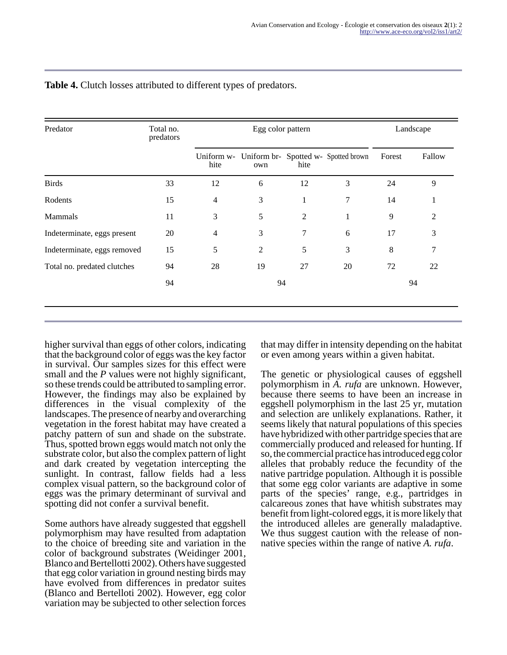| Predator                    | Total no.<br>predators | Egg color pattern  |     |                |                                      | Landscape |                |
|-----------------------------|------------------------|--------------------|-----|----------------|--------------------------------------|-----------|----------------|
|                             |                        | Uniform w-<br>hite | own | hite           | Uniform br- Spotted w- Spotted brown | Forest    | Fallow         |
| <b>Birds</b>                | 33                     | 12                 | 6   | 12             | 3                                    | 24        | 9              |
| Rodents                     | 15                     | $\overline{4}$     | 3   | 1              | 7                                    | 14        | $\mathbf{1}$   |
| <b>Mammals</b>              | 11                     | 3                  | 5   | $\overline{2}$ | 1                                    | 9         | $\overline{2}$ |
| Indeterminate, eggs present | 20                     | $\overline{4}$     | 3   | 7              | 6                                    | 17        | 3              |
| Indeterminate, eggs removed | 15                     | 5                  | 2   | 5              | 3                                    | 8         | 7              |
| Total no. predated clutches | 94                     | 28                 | 19  | 27             | 20                                   | 72        | 22             |
|                             | 94                     |                    | 94  |                |                                      |           | 94             |

## **Table 4.** Clutch losses attributed to different types of predators.

higher survival than eggs of other colors, indicating that the background color of eggs was the key factor in survival. Our samples sizes for this effect were small and the *P* values were not highly significant, so these trends could be attributed to sampling error. However, the findings may also be explained by differences in the visual complexity of the landscapes. The presence of nearby and overarching vegetation in the forest habitat may have created a patchy pattern of sun and shade on the substrate. Thus, spotted brown eggs would match not only the substrate color, but also the complex pattern of light and dark created by vegetation intercepting the sunlight. In contrast, fallow fields had a less complex visual pattern, so the background color of eggs was the primary determinant of survival and spotting did not confer a survival benefit.

Some authors have already suggested that eggshell polymorphism may have resulted from adaptation to the choice of breeding site and variation in the color of background substrates (Weidinger 2001, Blanco and Bertellotti 2002). Others have suggested that egg color variation in ground nesting birds may have evolved from differences in predator suites (Blanco and Bertelloti 2002). However, egg color variation may be subjected to other selection forces

that may differ in intensity depending on the habitat or even among years within a given habitat.

The genetic or physiological causes of eggshell polymorphism in *A. rufa* are unknown. However, because there seems to have been an increase in eggshell polymorphism in the last 25 yr, mutation and selection are unlikely explanations. Rather, it seems likely that natural populations of this species have hybridized with other partridge species that are commercially produced and released for hunting. If so, the commercial practice has introduced egg color alleles that probably reduce the fecundity of the native partridge population. Although it is possible that some egg color variants are adaptive in some parts of the species' range, e.g., partridges in calcareous zones that have whitish substrates may benefit from light-colored eggs, it is more likely that the introduced alleles are generally maladaptive. We thus suggest caution with the release of nonnative species within the range of native *A. rufa*.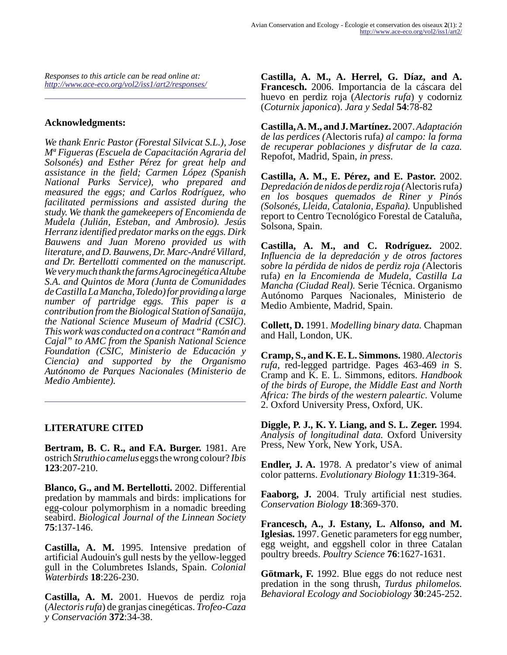*Responses to this article can be read online at: <http://www.ace-eco.org/vol2/iss1/art2/responses/>*

#### **Acknowledgments:**

*We thank Enric Pastor (Forestal Silvicat S.L.), Jose Mª Figueras (Escuela de Capacitación Agraria del Solsonés) and Esther Pérez for great help and assistance in the field; Carmen López (Spanish National Parks Service), who prepared and measured the eggs; and Carlos Rodríguez, who facilitated permissions and assisted during the study. We thank the gamekeepers of Encomienda de Mudela (Julián, Esteban, and Ambrosio). Jesús Herranz identified predator marks on the eggs. Dirk Bauwens and Juan Moreno provided us with literature, and D. Bauwens, Dr. Marc-André Villard, and Dr. Bertellotti commented on the manuscript. We very much thank the farms Agrocinegética Altube S.A. and Quintos de Mora (Junta de Comunidades de Castilla La Mancha, Toledo) for providing a large number of partridge eggs. This paper is a contribution from the Biological Station of Sanaüja, the National Science Museum of Madrid (CSIC). This work was conducted on a contract "Ramón and Cajal" to AMC from the Spanish National Science Foundation (CSIC, Ministerio de Educación y Ciencia) and supported by the Organismo Autónomo de Parques Nacionales (Ministerio de Medio Ambiente).*

## **LITERATURE CITED**

**Bertram, B. C. R., and F.A. Burger.** 1981. Are ostrich *Struthio camelus* eggs the wrong colour? *Ibis* **123**:207-210.

**Blanco, G., and M. Bertellotti.** 2002. Differential predation by mammals and birds: implications for egg-colour polymorphism in a nomadic breeding seabird. *Biological Journal of the Linnean Society* **75**:137-146.

**Castilla, A. M.** 1995. Intensive predation of artificial Audouin's gull nests by the yellow-legged gull in the Columbretes Islands, Spain. *Colonial Waterbirds* **18**:226-230.

**Castilla, A. M.** 2001. Huevos de perdiz roja (*Alectoris rufa*) de granjas cinegéticas. *Trofeo-Caza y Conservación* **372**:34-38.

**Castilla, A. M., A. Herrel, G. Díaz, and A. Francesch.** 2006. Importancia de la cáscara del huevo en perdiz roja (*Alectoris rufa*) y codorniz (*Coturnix japonica*). *Jara y Sedal* **54**:78-82

**Castilla, A. M., and J. Martínez.** 2007. *Adaptación de las perdices (*Alectoris rufa*) al campo: la forma de recuperar poblaciones y disfrutar de la caza.* Repofot, Madrid, Spain, *in press*.

**Castilla, A. M., E. Pérez, and E. Pastor.** 2002. *Depredación de nidos de perdiz roja (*Alectoris rufa*) en los bosques quemados de Riner y Pinós (Solsonés, Lleida, Catalonia, España).* Unpublished report to Centro Tecnológico Forestal de Cataluña, Solsona, Spain.

**Castilla, A. M., and C. Rodríguez.** 2002. *Influencia de la depredación y de otros factores sobre la pérdida de nidos de perdiz roja (*Alectoris rufa*) en la Encomienda de Mudela, Castilla La Mancha (Ciudad Real).* Serie Técnica. Organismo Autónomo Parques Nacionales, Ministerio de Medio Ambiente, Madrid, Spain.

**Collett, D.** 1991. *Modelling binary data.* Chapman and Hall, London, UK.

**Cramp, S., and K. E. L. Simmons.** 1980. *Alectoris rufa*, red-legged partridge. Pages 463-469 *in* S. Cramp and K. E. L. Simmons, editors. *Handbook of the birds of Europe, the Middle East and North Africa: The birds of the western paleartic.* Volume 2. Oxford University Press, Oxford, UK.

**Diggle, P. J., K. Y. Liang, and S. L. Zeger.** 1994. *Analysis of longitudinal data.* Oxford University Press, New York, New York, USA.

**Endler, J. A.** 1978. A predator's view of animal color patterns. *Evolutionary Biology* **11**:319-364.

**Faaborg, J.** 2004. Truly artificial nest studies. *Conservation Biology* **18**:369-370.

**Francesch, A., J. Estany, L. Alfonso, and M. Iglesias.** 1997. Genetic parameters for egg number, egg weight, and eggshell color in three Catalan poultry breeds. *Poultry Science* **76**:1627-1631.

**Götmark, F.** 1992. Blue eggs do not reduce nest predation in the song thrush, *Turdus philomelos. Behavioral Ecology and Sociobiology* **30**:245-252.